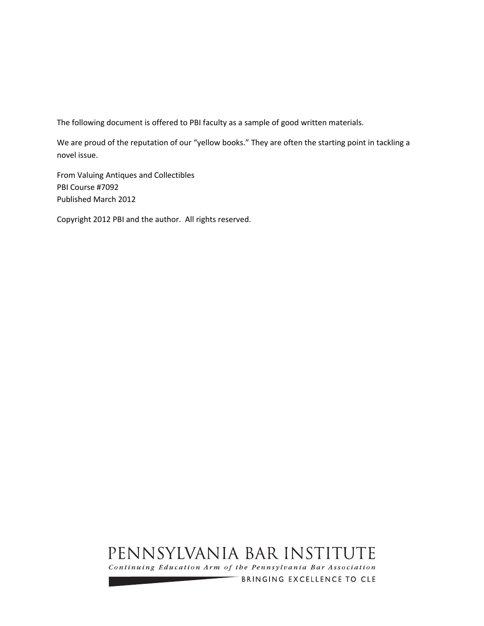The following document is offered to PBI faculty as a sample of good written materials.

We are proud of the reputation of our "yellow books." They are often the starting point in tackling a novel issue.

From Valuing Antiques and Collectibles PBI Course #7092 Published March 2012

Copyright 2012 PBI and the author. All rights reserved.

# PENNSYLVANIA BAR INSTITUTE

Continuing Education Arm of the Pennsylvania Bar Association

BRINGING EXCELLENCE TO CLE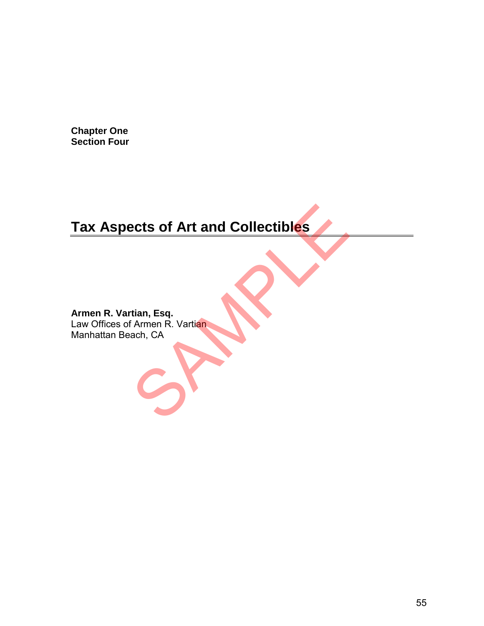**Chapter One Section Four**

# **Tax Aspects of Art and Collectibles** ects of Art and Collectibles<br>tian, Esq.<br>Amen R. Vartian<br>ach, CA<br>Collection of Art and Collectibles<br>ach, CA

**Armen R. Vartian, Esq.** Law Offices of Armen R. Vartian Manhattan Beach, CA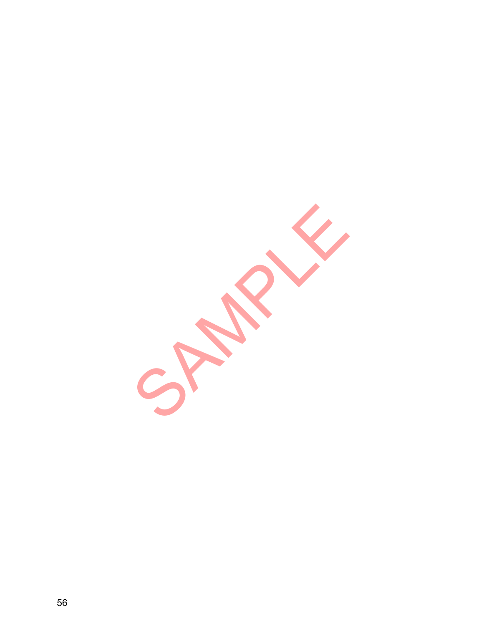**SAMPLE**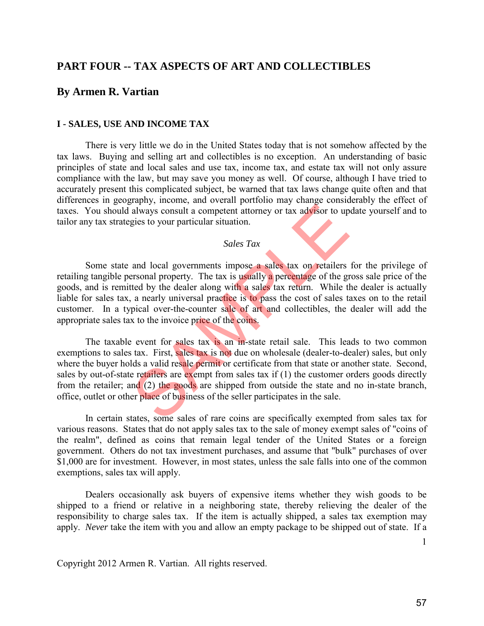### **PART FOUR -- TAX ASPECTS OF ART AND COLLECTIBLES**

### **By Armen R. Vartian**

### **I - SALES, USE AND INCOME TAX**

There is very little we do in the United States today that is not somehow affected by the tax laws. Buying and selling art and collectibles is no exception. An understanding of basic principles of state and local sales and use tax, income tax, and estate tax will not only assure compliance with the law, but may save you money as well. Of course, although I have tried to accurately present this complicated subject, be warned that tax laws change quite often and that differences in geography, income, and overall portfolio may change considerably the effect of taxes. You should always consult a competent attorney or tax advisor to update yourself and to tailor any tax strategies to your particular situation.

### *Sales Tax*

Some state and local governments impose a sales tax on retailers for the privilege of retailing tangible personal property. The tax is usually a percentage of the gross sale price of the goods, and is remitted by the dealer along with a sales tax return. While the dealer is actually liable for sales tax, a nearly universal practice is to pass the cost of sales taxes on to the retail customer. In a typical over-the-counter sale of art and collectibles, the dealer will add the appropriate sales tax to the invoice price of the coins.

The taxable event for sales tax is an in-state retail sale. This leads to two common exemptions to sales tax. First, sales tax is not due on wholesale (dealer-to-dealer) sales, but only where the buyer holds a valid resale permit or certificate from that state or another state. Second, sales by out-of-state retailers are exempt from sales tax if (1) the customer orders goods directly from the retailer; and (2) the goods are shipped from outside the state and no in-state branch, office, outlet or other place of business of the seller participates in the sale.

In certain states, some sales of rare coins are specifically exempted from sales tax for various reasons. States that do not apply sales tax to the sale of money exempt sales of "coins of the realm", defined as coins that remain legal tender of the United States or a foreign government. Others do not tax investment purchases, and assume that "bulk" purchases of over \$1,000 are for investment. However, in most states, unless the sale falls into one of the common exemptions, sales tax will apply. always consult a competent attorney or tax advisor to update yourself and to<br>always consult a competent attorney or tax advisor to update yourself and to<br>gies to your particular situation.<br>
Sales Tax<br>
and local government

Dealers occasionally ask buyers of expensive items whether they wish goods to be shipped to a friend or relative in a neighboring state, thereby relieving the dealer of the responsibility to charge sales tax. If the item is actually shipped, a sales tax exemption may apply. *Never* take the item with you and allow an empty package to be shipped out of state. If a

1

Copyright 2012 Armen R. Vartian. All rights reserved.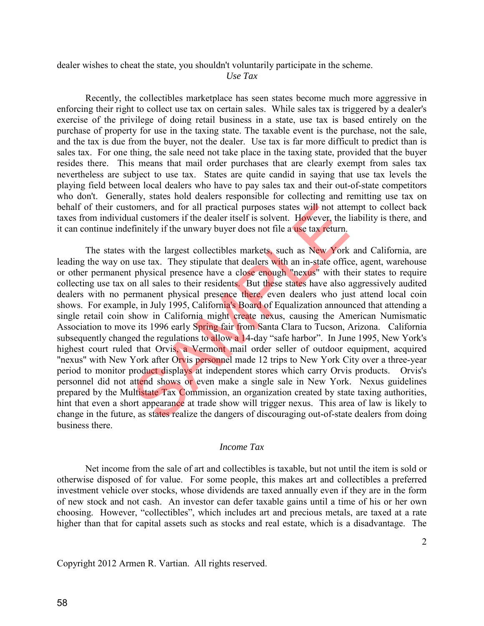## dealer wishes to cheat the state, you shouldn't voluntarily participate in the scheme.

*Use Tax*

Recently, the collectibles marketplace has seen states become much more aggressive in enforcing their right to collect use tax on certain sales. While sales tax is triggered by a dealer's exercise of the privilege of doing retail business in a state, use tax is based entirely on the purchase of property for use in the taxing state. The taxable event is the purchase, not the sale, and the tax is due from the buyer, not the dealer. Use tax is far more difficult to predict than is sales tax. For one thing, the sale need not take place in the taxing state, provided that the buyer resides there. This means that mail order purchases that are clearly exempt from sales tax nevertheless are subject to use tax. States are quite candid in saying that use tax levels the playing field between local dealers who have to pay sales tax and their out-of-state competitors who don't. Generally, states hold dealers responsible for collecting and remitting use tax on behalf of their customers, and for all practical purposes states will not attempt to collect back taxes from individual customers if the dealer itself is solvent. However, the liability is there, and it can continue indefinitely if the unwary buyer does not file a use tax return.

The states with the largest collectibles markets, such as New York and California, are leading the way on use tax. They stipulate that dealers with an in-state office, agent, warehouse or other permanent physical presence have a close enough "nexus" with their states to require collecting use tax on all sales to their residents. But these states have also aggressively audited dealers with no permanent physical presence there, even dealers who just attend local coin shows. For example, in July 1995, California's Board of Equalization announced that attending a single retail coin show in California might create nexus, causing the American Numismatic Association to move its 1996 early Spring fair from Santa Clara to Tucson, Arizona. California subsequently changed the regulations to allow a 14-day "safe harbor". In June 1995, New York's highest court ruled that Orvis, a Vermont mail order seller of outdoor equipment, acquired "nexus" with New York after Orvis personnel made 12 trips to New York City over a three-year period to monitor product displays at independent stores which carry Orvis products. Orvis's personnel did not attend shows or even make a single sale in New York. Nexus guidelines prepared by the Multistate Tax Commission, an organization created by state taxing authorities, hint that even a short appearance at trade show will trigger nexus. This area of law is likely to change in the future, as states realize the dangers of discouraging out-of-state dealers from doing business there. behalf of their customers, and for all practical purposes states with not atternal<br>tracks from individual customers if the dealer itself is solvent. However, the lates to their can continue indefinitely if the unwary buyer

### *Income Tax*

Net income from the sale of art and collectibles is taxable, but not until the item is sold or otherwise disposed of for value. For some people, this makes art and collectibles a preferred investment vehicle over stocks, whose dividends are taxed annually even if they are in the form of new stock and not cash. An investor can defer taxable gains until a time of his or her own choosing. However, "collectibles", which includes art and precious metals, are taxed at a rate higher than that for capital assets such as stocks and real estate, which is a disadvantage. The

2

Copyright 2012 Armen R. Vartian. All rights reserved.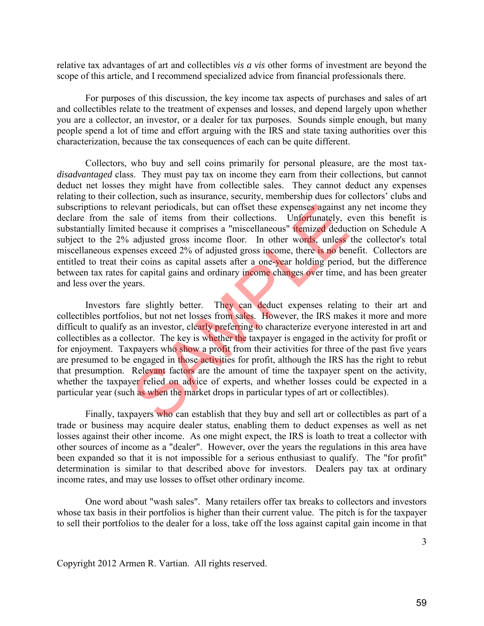relative tax advantages of art and collectibles *vis a vis* other forms of investment are beyond the scope of this article, and I recommend specialized advice from financial professionals there.

For purposes of this discussion, the key income tax aspects of purchases and sales of art and collectibles relate to the treatment of expenses and losses, and depend largely upon whether you are a collector, an investor, or a dealer for tax purposes. Sounds simple enough, but many people spend a lot of time and effort arguing with the IRS and state taxing authorities over this characterization, because the tax consequences of each can be quite different.

Collectors, who buy and sell coins primarily for personal pleasure, are the most tax*disadvantaged* class. They must pay tax on income they earn from their collections, but cannot deduct net losses they might have from collectible sales. They cannot deduct any expenses relating to their collection, such as insurance, security, membership dues for collectors' clubs and subscriptions to relevant periodicals, but can offset these expenses against any net income they declare from the sale of items from their collections. Unfortunately, even this benefit is substantially limited because it comprises a "miscellaneous" itemized deduction on Schedule A subject to the 2% adjusted gross income floor. In other words, unless the collector's total miscellaneous expenses exceed 2% of adjusted gross income, there is no benefit. Collectors are entitled to treat their coins as capital assets after a one-year holding period, but the difference between tax rates for capital gains and ordinary income changes over time, and has been greater and less over the years.

Investors fare slightly better. They can deduct expenses relating to their art and collectibles portfolios, but not net losses from sales. However, the IRS makes it more and more difficult to qualify as an investor, clearly preferring to characterize everyone interested in art and collectibles as a collector. The key is whether the taxpayer is engaged in the activity for profit or for enjoyment. Taxpayers who show a profit from their activities for three of the past five years are presumed to be engaged in those activities for profit, although the IRS has the right to rebut that presumption. Relevant factors are the amount of time the taxpayer spent on the activity, whether the taxpayer relied on advice of experts, and whether losses could be expected in a particular year (such as when the market drops in particular types of art or collectibles). event periodicals, but can offset these expenses against any ter income they desired to the deal rest in the most form offset the decause it comprises a "niscellaneous" femical deduction on Schedule A decause it comprises

Finally, taxpayers who can establish that they buy and sell art or collectibles as part of a trade or business may acquire dealer status, enabling them to deduct expenses as well as net losses against their other income. As one might expect, the IRS is loath to treat a collector with other sources of income as a "dealer". However, over the years the regulations in this area have been expanded so that it is not impossible for a serious enthusiast to qualify. The "for profit" determination is similar to that described above for investors. Dealers pay tax at ordinary income rates, and may use losses to offset other ordinary income.

One word about "wash sales". Many retailers offer tax breaks to collectors and investors whose tax basis in their portfolios is higher than their current value. The pitch is for the taxpayer to sell their portfolios to the dealer for a loss, take off the loss against capital gain income in that

Copyright 2012 Armen R. Vartian. All rights reserved.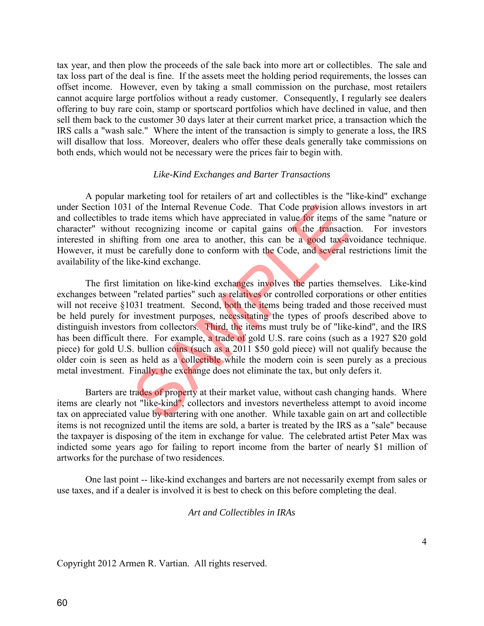tax year, and then plow the proceeds of the sale back into more art or collectibles. The sale and tax loss part of the deal is fine. If the assets meet the holding period requirements, the losses can offset income. However, even by taking a small commission on the purchase, most retailers cannot acquire large portfolios without a ready customer. Consequently, I regularly see dealers offering to buy rare coin, stamp or sportscard portfolios which have declined in value, and then sell them back to the customer 30 days later at their current market price, a transaction which the IRS calls a "wash sale." Where the intent of the transaction is simply to generate a loss, the IRS will disallow that loss. Moreover, dealers who offer these deals generally take commissions on both ends, which would not be necessary were the prices fair to begin with.

### *Like-Kind Exchanges and Barter Transactions*

A popular marketing tool for retailers of art and collectibles is the "like-kind" exchange under Section 1031 of the Internal Revenue Code. That Code provision allows investors in art and collectibles to trade items which have appreciated in value for items of the same "nature or character" without recognizing income or capital gains on the transaction. For investors interested in shifting from one area to another, this can be a good tax-avoidance technique. However, it must be carefully done to conform with the Code, and several restrictions limit the availability of the like-kind exchange.

The first limitation on like-kind exchanges involves the parties themselves. Like-kind exchanges between "related parties" such as relatives or controlled corporations or other entities will not receive §1031 treatment. Second, both the items being traded and those received must be held purely for investment purposes, necessitating the types of proofs described above to distinguish investors from collectors. Third, the items must truly be of "like-kind", and the IRS has been difficult there. For example, a trade of gold U.S. rare coins (such as a 1927 \$20 gold piece) for gold U.S. bullion coins (such as a 2011 \$50 gold piece) will not qualify because the older coin is seen as held as a collectible while the modern coin is seen purely as a precious metal investment. Finally, the exchange does not eliminate the tax, but only defers it. under Section 1031 of the Internal Revenue Code. That Code provision all<br>and collectibles to trade items which have appreciated in value for items of<br>character" without recognizing income or eapital gains on the transactit

Barters are trades of property at their market value, without cash changing hands. Where items are clearly not "like-kind", collectors and investors nevertheless attempt to avoid income tax on appreciated value by bartering with one another. While taxable gain on art and collectible items is not recognized until the items are sold, a barter is treated by the IRS as a "sale" because the taxpayer is disposing of the item in exchange for value. The celebrated artist Peter Max was indicted some years ago for failing to report income from the barter of nearly \$1 million of artworks for the purchase of two residences.

One last point -- like-kind exchanges and barters are not necessarily exempt from sales or use taxes, and if a dealer is involved it is best to check on this before completing the deal.

### *Art and Collectibles in IRAs*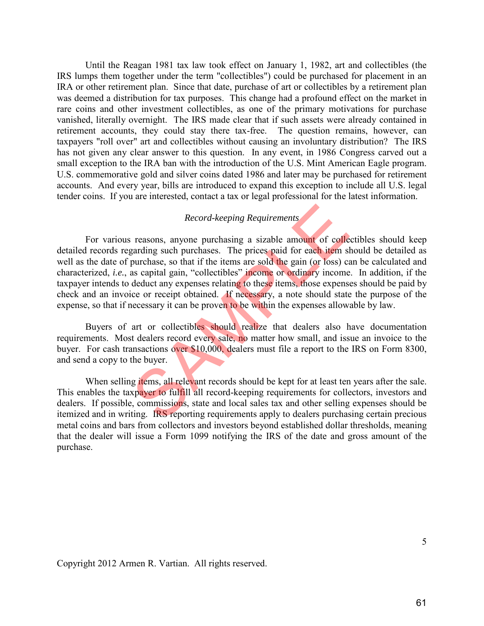Until the Reagan 1981 tax law took effect on January 1, 1982, art and collectibles (the IRS lumps them together under the term "collectibles") could be purchased for placement in an IRA or other retirement plan. Since that date, purchase of art or collectibles by a retirement plan was deemed a distribution for tax purposes. This change had a profound effect on the market in rare coins and other investment collectibles, as one of the primary motivations for purchase vanished, literally overnight. The IRS made clear that if such assets were already contained in retirement accounts, they could stay there tax-free. The question remains, however, can taxpayers "roll over" art and collectibles without causing an involuntary distribution? The IRS has not given any clear answer to this question. In any event, in 1986 Congress carved out a small exception to the IRA ban with the introduction of the U.S. Mint American Eagle program. U.S. commemorative gold and silver coins dated 1986 and later may be purchased for retirement accounts. And every year, bills are introduced to expand this exception to include all U.S. legal tender coins. If you are interested, contact a tax or legal professional for the latest information.

### *Record-keeping Requirements*

For various reasons, anyone purchasing a sizable amount of collectibles should keep detailed records regarding such purchases. The prices paid for each item should be detailed as well as the date of purchase, so that if the items are sold the gain (or loss) can be calculated and characterized, *i.e.*, as capital gain, "collectibles" income or ordinary income. In addition, if the taxpayer intends to deduct any expenses relating to these items, those expenses should be paid by check and an invoice or receipt obtained. If necessary, a note should state the purpose of the expense, so that if necessary it can be proven to be within the expenses allowable by law. Record-keeping Requirements<br>
reasons, anyonc purchasing a sizable amount of collectibles should keep<br>
gurding such purchases. The prices paid to reach tiom should be detailed as<br>
gurding such purchases. The prices paid the

Buyers of art or collectibles should realize that dealers also have documentation requirements. Most dealers record every sale, no matter how small, and issue an invoice to the buyer. For cash transactions over \$10,000, dealers must file a report to the IRS on Form 8300, and send a copy to the buyer.

When selling *items*, all relevant records should be kept for at least ten years after the sale. This enables the taxpayer to fulfill all record-keeping requirements for collectors, investors and dealers. If possible, commissions, state and local sales tax and other selling expenses should be itemized and in writing. IRS reporting requirements apply to dealers purchasing certain precious metal coins and bars from collectors and investors beyond established dollar thresholds, meaning that the dealer will issue a Form 1099 notifying the IRS of the date and gross amount of the purchase.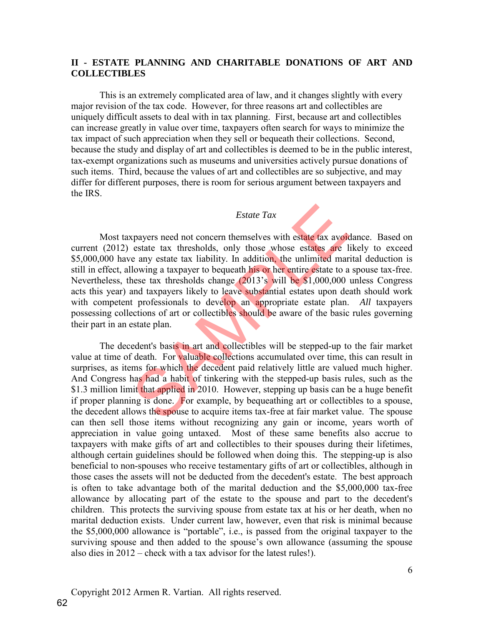### **II - ESTATE PLANNING AND CHARITABLE DONATIONS OF ART AND COLLECTIBLES**

This is an extremely complicated area of law, and it changes slightly with every major revision of the tax code. However, for three reasons art and collectibles are uniquely difficult assets to deal with in tax planning. First, because art and collectibles can increase greatly in value over time, taxpayers often search for ways to minimize the tax impact of such appreciation when they sell or bequeath their collections. Second, because the study and display of art and collectibles is deemed to be in the public interest, tax-exempt organizations such as museums and universities actively pursue donations of such items. Third, because the values of art and collectibles are so subjective, and may differ for different purposes, there is room for serious argument between taxpayers and the IRS.

### *Estate Tax*

Most taxpayers need not concern themselves with estate tax avoidance. Based on current (2012) estate tax thresholds, only those whose estates are likely to exceed \$5,000,000 have any estate tax liability. In addition, the unlimited marital deduction is still in effect, allowing a taxpayer to bequeath his or her entire estate to a spouse tax-free. Nevertheless, these tax thresholds change (2013's will be \$1,000,000 unless Congress acts this year) and taxpayers likely to leave substantial estates upon death should work with competent professionals to develop an appropriate estate plan. *All* taxpayers possessing collections of art or collectibles should be aware of the basic rules governing their part in an estate plan.

The decedent's basis in art and collectibles will be stepped-up to the fair market value at time of death. For valuable collections accumulated over time, this can result in surprises, as items for which the decedent paid relatively little are valued much higher. And Congress has had a habit of tinkering with the stepped-up basis rules, such as the \$1.3 million limit that applied in 2010. However, stepping up basis can be a huge benefit if proper planning is done. For example, by bequeathing art or collectibles to a spouse, the decedent allows the spouse to acquire items tax-free at fair market value. The spouse can then sell those items without recognizing any gain or income, years worth of appreciation in value going untaxed. Most of these same benefits also accrue to taxpayers with make gifts of art and collectibles to their spouses during their lifetimes, although certain guidelines should be followed when doing this. The stepping-up is also beneficial to non-spouses who receive testamentary gifts of art or collectibles, although in those cases the assets will not be deducted from the decedent's estate. The best approach is often to take advantage both of the marital deduction and the \$5,000,000 tax-free allowance by allocating part of the estate to the spouse and part to the decedent's children. This protects the surviving spouse from estate tax at his or her death, when no marital deduction exists. Under current law, however, even that risk is minimal because the \$5,000,000 allowance is "portable", i.e., is passed from the original taxpayer to the surviving spouse and then added to the spouse's own allowance (assuming the spouse also dies in 2012 – check with a tax advisor for the latest rules!). *Estate Tax*<br>
Most taxpayers need not concern themselves with estate tax avoid<br>
S5,000,000 have any setate tax inhibity. In addition, the unlimited mar<br>
S5,000,000 have any setate tax limiting and the significal mare<br>
sti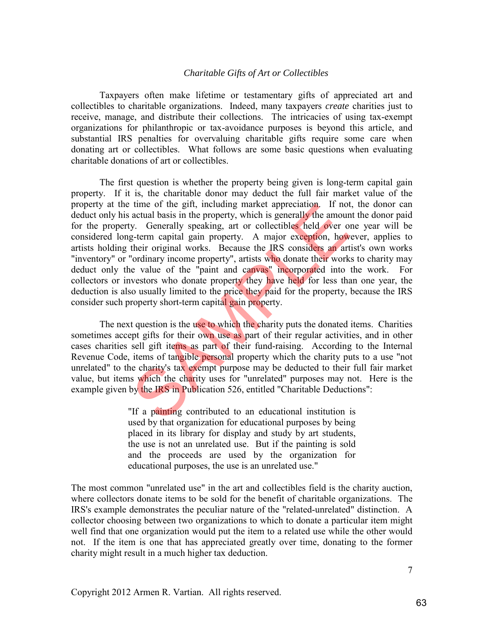### *Charitable Gifts of Art or Collectibles*

Taxpayers often make lifetime or testamentary gifts of appreciated art and collectibles to charitable organizations. Indeed, many taxpayers *create* charities just to receive, manage, and distribute their collections. The intricacies of using tax-exempt organizations for philanthropic or tax-avoidance purposes is beyond this article, and substantial IRS penalties for overvaluing charitable gifts require some care when donating art or collectibles. What follows are some basic questions when evaluating charitable donations of art or collectibles.

The first question is whether the property being given is long-term capital gain property. If it is, the charitable donor may deduct the full fair market value of the property at the time of the gift, including market appreciation. If not, the donor can deduct only his actual basis in the property, which is generally the amount the donor paid for the property. Generally speaking, art or collectibles held over one year will be considered long-term capital gain property. A major exception, however, applies to artists holding their original works. Because the IRS considers an artist's own works "inventory" or "ordinary income property", artists who donate their works to charity may deduct only the value of the "paint and canvas" incorporated into the work. For collectors or investors who donate property they have held for less than one year, the deduction is also usually limited to the price they paid for the property, because the IRS consider such property short-term capital gain property. time of the girt, including that respectation. It not, the door can<br>actual basis in the property, which is generally the amount the donor paid<br>actual basis in the property, which is generally the amount the donor paid<br>act

The next question is the use to which the charity puts the donated items. Charities sometimes accept gifts for their own use as part of their regular activities, and in other cases charities sell gift items as part of their fund-raising. According to the Internal Revenue Code, items of tangible personal property which the charity puts to a use "not unrelated" to the charity's tax exempt purpose may be deducted to their full fair market value, but items which the charity uses for "unrelated" purposes may not. Here is the example given by the IRS in Publication 526, entitled "Charitable Deductions":

> "If a painting contributed to an educational institution is used by that organization for educational purposes by being placed in its library for display and study by art students, the use is not an unrelated use. But if the painting is sold and the proceeds are used by the organization for educational purposes, the use is an unrelated use."

The most common "unrelated use" in the art and collectibles field is the charity auction, where collectors donate items to be sold for the benefit of charitable organizations. The IRS's example demonstrates the peculiar nature of the "related-unrelated" distinction. A collector choosing between two organizations to which to donate a particular item might well find that one organization would put the item to a related use while the other would not. If the item is one that has appreciated greatly over time, donating to the former charity might result in a much higher tax deduction.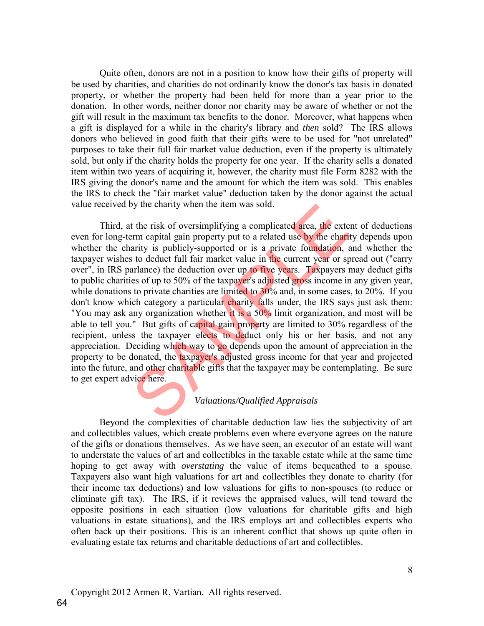Quite often, donors are not in a position to know how their gifts of property will be used by charities, and charities do not ordinarily know the donor's tax basis in donated property, or whether the property had been held for more than a year prior to the donation. In other words, neither donor nor charity may be aware of whether or not the gift will result in the maximum tax benefits to the donor. Moreover, what happens when a gift is displayed for a while in the charity's library and *then* sold? The IRS allows donors who believed in good faith that their gifts were to be used for "not unrelated" purposes to take their full fair market value deduction, even if the property is ultimately sold, but only if the charity holds the property for one year. If the charity sells a donated item within two years of acquiring it, however, the charity must file Form 8282 with the IRS giving the donor's name and the amount for which the item was sold. This enables the IRS to check the "fair market value" deduction taken by the donor against the actual value received by the charity when the item was sold.

Third, at the risk of oversimplifying a complicated area, the extent of deductions even for long-term capital gain property put to a related use by the charity depends upon whether the charity is publicly-supported or is a private foundation, and whether the taxpayer wishes to deduct full fair market value in the current year or spread out ("carry over", in IRS parlance) the deduction over up to five years. Taxpayers may deduct gifts to public charities of up to 50% of the taxpayer's adjusted gross income in any given year, while donations to private charities are limited to 30% and, in some cases, to 20%. If you don't know which category a particular charity falls under, the IRS says just ask them: "You may ask any organization whether it is a 50% limit organization, and most will be able to tell you." But gifts of capital gain property are limited to 30% regardless of the recipient, unless the taxpayer elects to deduct only his or her basis, and not any appreciation. Deciding which way to go depends upon the amount of appreciation in the property to be donated, the taxpayer's adjusted gross income for that year and projected into the future, and other charitable gifts that the taxpayer may be contemplating. Be sure to get expert advice here. value received by the charity when the litem was solit.<br>Third, at the risk of coversimplifying a complicated area, the exter<br>or for long-turem capital gain property put to a related use by the char<br>whether the charity is

### *Valuations/Qualified Appraisals*

Beyond the complexities of charitable deduction law lies the subjectivity of art and collectibles values, which create problems even where everyone agrees on the nature of the gifts or donations themselves. As we have seen, an executor of an estate will want to understate the values of art and collectibles in the taxable estate while at the same time hoping to get away with *overstating* the value of items bequeathed to a spouse. Taxpayers also want high valuations for art and collectibles they donate to charity (for their income tax deductions) and low valuations for gifts to non-spouses (to reduce or eliminate gift tax). The IRS, if it reviews the appraised values, will tend toward the opposite positions in each situation (low valuations for charitable gifts and high valuations in estate situations), and the IRS employs art and collectibles experts who often back up their positions. This is an inherent conflict that shows up quite often in evaluating estate tax returns and charitable deductions of art and collectibles.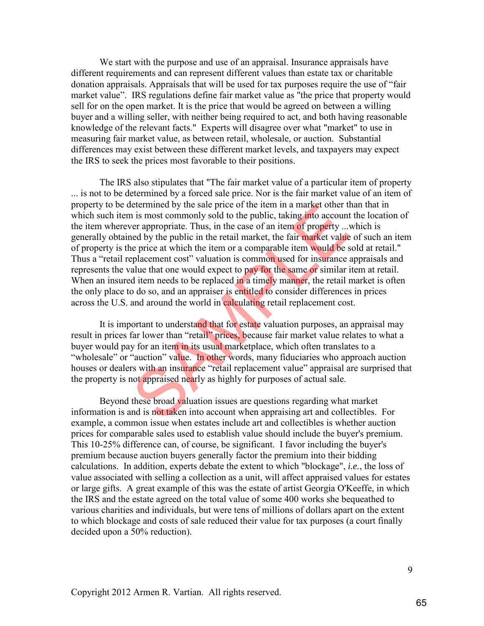We start with the purpose and use of an appraisal. Insurance appraisals have different requirements and can represent different values than estate tax or charitable donation appraisals. Appraisals that will be used for tax purposes require the use of "fair market value". IRS regulations define fair market value as "the price that property would sell for on the open market. It is the price that would be agreed on between a willing buyer and a willing seller, with neither being required to act, and both having reasonable knowledge of the relevant facts." Experts will disagree over what "market" to use in measuring fair market value, as between retail, wholesale, or auction. Substantial differences may exist between these different market levels, and taxpayers may expect the IRS to seek the prices most favorable to their positions.

The IRS also stipulates that "The fair market value of a particular item of property ... is not to be determined by a forced sale price. Nor is the fair market value of an item of property to be determined by the sale price of the item in a market other than that in which such item is most commonly sold to the public, taking into account the location of the item wherever appropriate. Thus, in the case of an item of property ...which is generally obtained by the public in the retail market, the fair market value of such an item of property is the price at which the item or a comparable item would be sold at retail." Thus a "retail replacement cost" valuation is common used for insurance appraisals and represents the value that one would expect to pay for the same or similar item at retail. When an insured item needs to be replaced in a timely manner, the retail market is often the only place to do so, and an appraiser is entitled to consider differences in prices across the U.S. and around the world in calculating retail replacement cost.

It is important to understand that for estate valuation purposes, an appraisal may result in prices far lower than "retail" prices, because fair market value relates to what a buyer would pay for an item in its usual marketplace, which often translates to a "wholesale" or "auction" value. In other words, many fiduciaries who approach auction houses or dealers with an insurance "retail replacement value" appraisal are surprised that the property is not appraised nearly as highly for purposes of actual sale.

Beyond these broad valuation issues are questions regarding what market information is and is not taken into account when appraising art and collectibles. For example, a common issue when estates include art and collectibles is whether auction prices for comparable sales used to establish value should include the buyer's premium. This 10-25% difference can, of course, be significant. I favor including the buyer's premium because auction buyers generally factor the premium into their bidding calculations. In addition, experts debate the extent to which "blockage", *i.e.*, the loss of value associated with selling a collection as a unit, will affect appraised values for estates or large gifts. A great example of this was the estate of artist Georgia O'Keeffe, in which the IRS and the estate agreed on the total value of some 400 works she bequeathed to various charities and individuals, but were tens of millions of dollars apart on the extent to which blockage and costs of sale reduced their value for tax purposes (a court finally decided upon a 50% reduction). eferrained by the sale price of the iclon in a marking then that mathem that the sale of the interact of the sale of an item of property ... which is most commonly sold to the public, taking anto account the location of ea